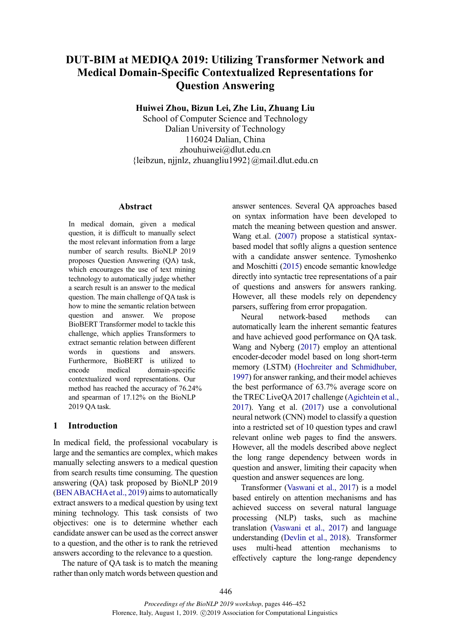# **DUT-BIM at MEDIQA 2019: Utilizing Transformer Network and Medical Domain-Specific Contextualized Representations for Question Answering**

**Huiwei Zhou, Bizun Lei, Zhe Liu, Zhuang Liu**

School of Computer Science and Technology Dalian University of Technology 116024 Dalian, China zhouhuiwei@dlut.edu.cn  ${leibzun, njink, zhuangliu1992}$ @mail.dlut.edu.cn

# **Abstract**

In medical domain, given a medical question, it is difficult to manually select the most relevant information from a large number of search results. BioNLP 2019 proposes Question Answering (QA) task, which encourages the use of text mining technology to automatically judge whether a search result is an answer to the medical question. The main challenge of QA task is how to mine the semantic relation between question and answer. We propose BioBERT Transformer model to tackle this challenge, which applies Transformers to extract semantic relation between different words in questions and answers. Furthermore, BioBERT is utilized to encode medical domain-specific contextualized word representations. Our method has reached the accuracy of 76.24% and spearman of 17.12% on the BioNLP 2019 QA task.

# **1 Introduction**

In medical field, the professional vocabulary is large and the semantics are complex, which makes manually selecting answers to a medical question from search results time consuming. The question answering (QA) task proposed by BioNLP 2019 (BEN ABACHA et al., 2019) aims to automatically extract answers to a medical question by using text mining technology. This task consists of two objectives: one is to determine whether each candidate answer can be used as the correct answer to a question, and the other is to rank the retrieved answers according to the relevance to a question.

The nature of QA task is to match the meaning rather than only match words between question and

answer sentences. Several QA approaches based on syntax information have been developed to match the meaning between question and answer. Wang et.al. (2007) propose a statistical syntaxbased model that softly aligns a question sentence with a candidate answer sentence. Tymoshenko and Moschitti (2015) encode semantic knowledge directly into syntactic tree representations of a pair of questions and answers for answers ranking. However, all these models rely on dependency parsers, suffering from error propagation.

Neural network-based methods can automatically learn the inherent semantic features and have achieved good performance on QA task. Wang and Nyberg (2017) employ an attentional encoder-decoder model based on long short-term memory (LSTM) (Hochreiter and Schmidhuber, 1997) for answer ranking, and their model achieves the best performance of 63.7% average score on the TREC LiveQA 2017 challenge (Agichtein et al., 2017). Yang et al. (2017) use a convolutional neural network (CNN) model to classify a question into a restricted set of 10 question types and crawl relevant online web pages to find the answers. However, all the models described above neglect the long range dependency between words in question and answer, limiting their capacity when question and answer sequences are long.

Transformer (Vaswani et al., 2017) is a model based entirely on attention mechanisms and has achieved success on several natural language processing (NLP) tasks, such as machine translation (Vaswani et al., 2017) and language understanding (Devlin et al., 2018). Transformer uses multi-head attention mechanisms to effectively capture the long-range dependency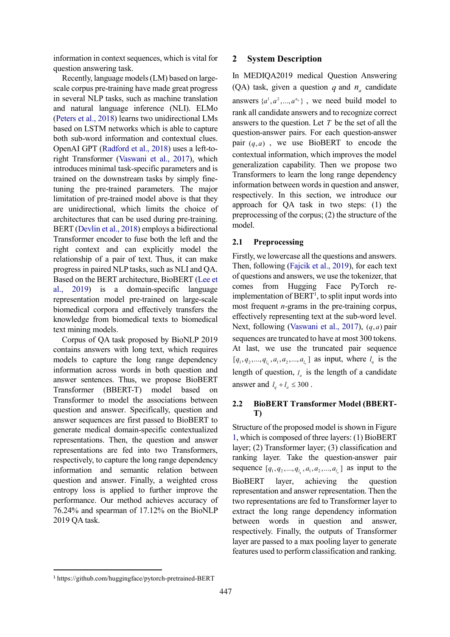information in context sequences, which is vital for question answering task.

Recently, language models(LM) based on largescale corpus pre-training have made great progress in several NLP tasks, such as machine translation and natural language inference (NLI). ELMo (Peters et al., 2018) learns two unidirectional LMs based on LSTM networks which is able to capture both sub-word information and contextual clues. OpenAI GPT (Radford et al., 2018) uses a left-toright Transformer (Vaswani et al., 2017), which introduces minimal task-specific parameters and is trained on the downstream tasks by simply finetuning the pre-trained parameters. The major limitation of pre-trained model above is that they are unidirectional, which limits the choice of architectures that can be used during pre-training. BERT (Devlin et al., 2018) employs a bidirectional Transformer encoder to fuse both the left and the right context and can explicitly model the relationship of a pair of text. Thus, it can make progress in paired NLP tasks, such as NLI and QA. Based on the BERT architecture, BioBERT (Lee et al., 2019) is a domain-specific language representation model pre-trained on large-scale biomedical corpora and effectively transfers the knowledge from biomedical texts to biomedical text mining models.

Corpus of QA task proposed by BioNLP 2019 contains answers with long text, which requires models to capture the long range dependency information across words in both question and answer sentences. Thus, we propose BioBERT Transformer (BBERT-T) model based on Transformer to model the associations between question and answer. Specifically, question and answer sequences are first passed to BioBERT to generate medical domain-specific contextualized representations. Then, the question and answer representations are fed into two Transformers, respectively, to capture the long range dependency information and semantic relation between question and answer. Finally, a weighted cross entropy loss is applied to further improve the performance. Our method achieves accuracy of 76.24% and spearman of 17.12% on the BioNLP 2019 QA task.

# **2 System Description**

In MEDIQA2019 medical Question Answering (QA) task, given a question  $q$  and  $n_a$  candidate answers  $\{a^1, a^2, \dots, a^{n_a}\}$ , we need build model to rank all candidate answers and to recognize correct answers to the question. Let *T* be the set of all the question-answer pairs. For each question-answer pair  $(q, a)$ , we use BioBERT to encode the contextual information, which improves the model generalization capability. Then we propose two Transformers to learn the long range dependency information between words in question and answer, respectively. In this section, we introduce our approach for QA task in two steps: (1) the preprocessing of the corpus; (2) the structure of the model.

# **2.1 Preprocessing**

Firstly, we lowercase all the questions and answers. Then, following (Fajcik et al., 2019), for each text of questions and answers, we use the tokenizer, that comes from Hugging Face PyTorch reimplementation of  $BERT<sup>1</sup>$ , to split input words into most frequent *n*-grams in the pre-training corpus, effectively representing text at the sub-word level. Next, following (Vaswani et al., 2017),  $(q, a)$  pair sequences are truncated to have at most 300 tokens. At last, we use the truncated pair sequence  $[q_1, q_2, ..., q_{l_a}, a_1, a_2, ..., a_{l_a}]$  as input, where  $l_q$  is the length of question,  $l_a$  is the length of a candidate answer and  $l_a + l_a \leq 300$ .

# **2.2 BioBERT Transformer Model (BBERT-T)**

Structure of the proposed model is shown in Figure 1, which is composed of three layers: (1) BioBERT layer; (2) Transformer layer; (3) classification and ranking layer. Take the question-answer pair sequence  $[q_1, q_2, ..., q_{l_a}, a_1, a_2, ..., a_{l_a}]$  as input to the BioBERT layer, achieving the question representation and answer representation. Then the two representations are fed to Transformer layer to extract the long range dependency information between words in question and answer, respectively. Finally, the outputs of Transformer layer are passed to a max pooling layer to generate features used to perform classification and ranking.

 <sup>1</sup> https://github.com/huggingface/pytorch-pretrained-BERT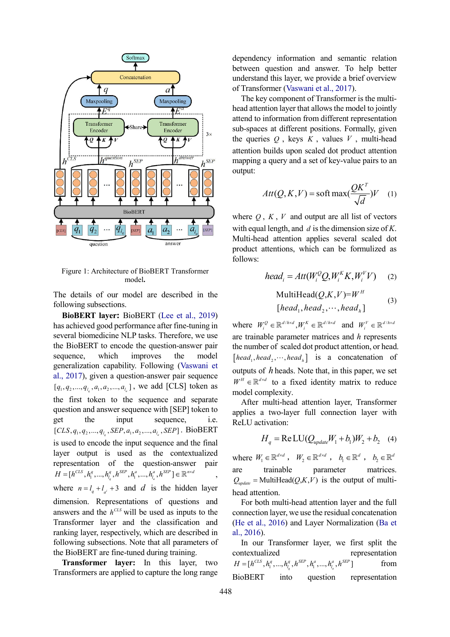

Figure 1: Architecture of BioBERT Transformer model**.**

The details of our model are described in the following subsections.

**BioBERT layer:** BioBERT (Lee et al., 2019) has achieved good performance after fine-tuning in several biomedicine NLP tasks. Therefore, we use the BioBERT to encode the question-answer pair sequence, which improves the model generalization capability. Following (Vaswani et al., 2017), given a question-answer pair sequence  $[q_1, q_2, ..., q_{l_q}, a_1, a_2, ..., a_{l_q}]$ , we add [CLS] token as the first token to the sequence and separate question and answer sequence with [SEP] token to get the input sequence, i.e.  $[CLS, q_1, q_2, ..., q_{l_a}, SEP, a_1, a_2, ..., a_{l_a}, SEP]$ . BioBERT is used to encode the input sequence and the final layer output is used as the contextualized representation of the question-answer pair  $H = [h^{CLS}, h_1^q, ..., h_{l_q}^q, h^{SEP}, h_1^q, ..., h_{l_a}^q, h^{SEP}] \in \mathbb{R}^{n \times d}$ , where  $n = l_a + l_{a'} + 3$  and *d* is the hidden layer dimension. Representations of questions and answers and the  $h^{CLS}$  will be used as inputs to the Transformer layer and the classification and ranking layer, respectively, which are described in following subsections. Note that all parameters of the BioBERT are fine-tuned during training.

**Transformer layer:** In this layer, two Transformers are applied to capture the long range

dependency information and semantic relation between question and answer. To help better understand this layer, we provide a brief overview of Transformer (Vaswani et al., 2017).

The key component of Transformer is the multihead attention layer that allows the model to jointly attend to information from different representation sub-spaces at different positions. Formally, given the queries  $Q$ , keys  $K$ , values  $V$ , multi-head attention builds upon scaled dot product attention mapping a query and a set of key-value pairs to an output:

$$
Att(Q, K, V) = \text{soft max}(\frac{QK^{T}}{\sqrt{d}})V \quad (1)
$$

where  $Q$ ,  $K$ ,  $V$  and output are all list of vectors with equal length, and *d* is the dimension size of *K*. Multi-head attention applies several scaled dot product attentions, which can be formulized as follows:

$$
head_i = Att(W_i^Q Q, W_i^K K, W_i^V V) \qquad (2)
$$

$$
\text{MultiHead}(Q, K, V) = W^H
$$
\n
$$
[head_1, head_2, \cdots, head_h]
$$
\n(3)

where  $W_i^Q \in \mathbb{R}^{d/h \times d}$ ,  $W_i^K \in \mathbb{R}^{d/h \times d}$  and  $W_i^V \in \mathbb{R}^{d/h \times d}$ are trainable parameter matrices and *h* represents the number of scaled dot product attention, or head.  $[head_1, head_2, \cdots, head_h]$  is a concatenation of outputs of *h* heads. Note that, in this paper, we set  $W^H \in \mathbb{R}^{d \times d}$  to a fixed identity matrix to reduce model complexity.

After multi-head attention layer, Transformer applies a two-layer full connection layer with ReLU activation:

$$
H_q = \text{ReLU}(Q_{\text{update}}W_1 + b_1)W_2 + b_2 \quad (4)
$$

where  $W_1 \in \mathbb{R}^{d \times d}$ ,  $W_2 \in \mathbb{R}^{d \times d}$ ,  $b_1 \in \mathbb{R}^d$ ,  $b_2 \in \mathbb{R}^d$ are trainable parameter matrices.  $Q_{\text{update}} = \text{MultiHead}(Q, K, V)$  is the output of multihead attention.

For both multi-head attention layer and the full connection layer, we use the residual concatenation (He et al., 2016) and Layer Normalization (Ba et al., 2016).

In our Transformer layer, we first split the contextualized representation  $H = [h^{CLS}, h_1^q, ..., h_{l_q}^q, h^{SEP}, h_1^q, ..., h_{l_a}^q, h^{SEP}]$  from BioBERT into question representation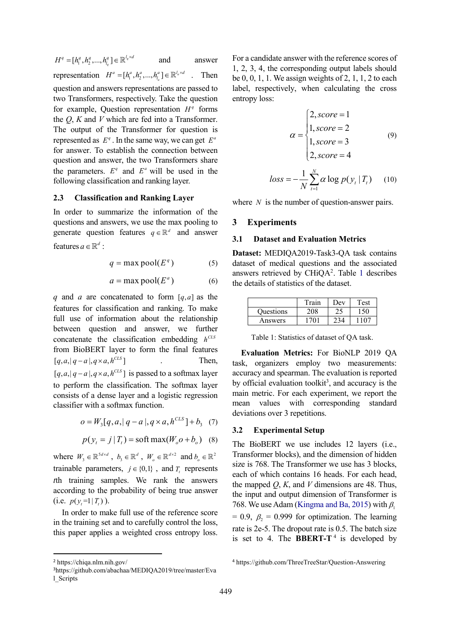$H^q = [h_1^q, h_2^q, ..., h_{l_q}^q] \in \mathbb{R}^{l_q \times d}$  and answer representation  $H^a = [h_1^a, h_2^a, ..., h_n^a] \in \mathbb{R}^{l_a \times d}$ . Then question and answers representations are passed to two Transformers, respectively. Take the question for example, Question representation  $H<sup>q</sup>$  forms the *Q*, *K* and *V* which are fed into a Transformer. The output of the Transformer for question is represented as  $E^q$ . In the same way, we can get  $E^a$ for answer. To establish the connection between question and answer, the two Transformers share the parameters.  $E^q$  and  $E^q$  will be used in the following classification and ranking layer.

#### **2.3 Classification and Ranking Layer**

In order to summarize the information of the questions and answers, we use the max pooling to generate question features  $q \in \mathbb{R}^d$  and answer features  $a \in \mathbb{R}^d$  :

$$
q = \max \text{pool}(E^q) \tag{5}
$$

$$
a = \max \text{pool}(E^a) \tag{6}
$$

*q* and *a* are concatenated to form  $[q, a]$  as the features for classification and ranking. To make full use of information about the relationship between question and answer, we further concatenate the classification embedding  $h^{CLS}$ from BioBERT layer to form the final features  $[q, a, |q - a|, q \times a, h^{CLS}]$  Then,  $[q, a, |q - a|, q \times a, h^{CLS}]$  is passed to a softmax layer to perform the classification. The softmax layer consists of a dense layer and a logistic regression classifier with a softmax function.

$$
o = W_3[q, a, |q - a|, q \times a, h^{CLS} + b_3 \quad (7)
$$

$$
p(y_t = j | T_t) = \text{soft } \max(W_o o + b_o) \quad (8)
$$

where  $W_3 \in \mathbb{R}^{5d \times d}$ ,  $b_3 \in \mathbb{R}^d$ ,  $W_0 \in \mathbb{R}^{d \times 2}$  and  $b_0 \in \mathbb{R}^2$ trainable parameters,  $j \in \{0,1\}$ , and *T*, represents *t*th training samples. We rank the answers according to the probability of being true answer  $(i.e. p(y = 1 | T_i))$ .

In order to make full use of the reference score in the training set and to carefully control the loss, this paper applies a weighted cross entropy loss.

$$
\alpha = \begin{cases} 2, score = 1 \\ 1, score = 2 \\ 1, score = 3 \\ 2, score = 4 \end{cases} \tag{9}
$$

$$
loss = -\frac{1}{N} \sum_{t=1}^{N} \alpha \log p(y_t | T_t)
$$
 (10)

where *N* is the number of question-answer pairs.

#### **3 Experiments**

#### **3.1 Dataset and Evaluation Metrics**

**Dataset:** MEDIQA2019-Task3-QA task contains dataset of medical questions and the associated answers retrieved by  $CHiQA<sup>2</sup>$ . Table 1 describes the details of statistics of the dataset.

|           | Train | Dev | Test |
|-----------|-------|-----|------|
| Questions |       |     | 50   |
| Answers   | 1701  |     |      |

Table 1: Statistics of dataset of QA task.

**Evaluation Metrics:** For BioNLP 2019 QA task, organizers employ two measurements: accuracy and spearman. The evaluation is reported by official evaluation toolkit<sup>3</sup>, and accuracy is the main metric. For each experiment, we report the mean values with corresponding standard deviations over 3 repetitions.

#### **3.2 Experimental Setup**

The BioBERT we use includes 12 layers (i.e., Transformer blocks), and the dimension of hidden size is 768. The Transformer we use has 3 blocks, each of which contains 16 heads. For each head, the mapped *Q*, *K*, and *V* dimensions are 48. Thus, the input and output dimension of Transformer is 768. We use Adam (Kingma and Ba, 2015) with  $\beta_1$  $= 0.9$ ,  $\beta_2 = 0.999$  for optimization. The learning rate is 2e-5. The dropout rate is 0.5. The batch size is set to 4. The **BBERT-T**<sup>4</sup> is developed by

For a candidate answer with the reference scores of 1, 2, 3, 4, the corresponding output labels should be  $0, 0, 1, 1$ . We assign weights of  $2, 1, 1, 2$  to each label, respectively, when calculating the cross entropy loss:

 <sup>2</sup> https://chiqa.nlm.nih.gov/

<sup>3</sup>https://github.com/abachaa/MEDIQA2019/tree/master/Eva l\_Scripts

<sup>4</sup> https://github.com/ThreeTreeStar/Question-Answering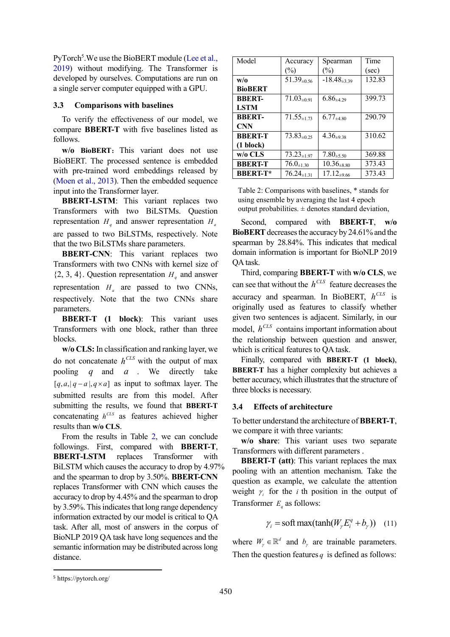PyTorch<sup>5</sup>. We use the BioBERT module (Lee et al., 2019) without modifying. The Transformer is developed by ourselves. Computations are run on a single server computer equipped with a GPU.

# **3.3 Comparisons with baselines**

To verify the effectiveness of our model, we compare **BBERT-T** with five baselines listed as follows.

**w/o BioBERT:** This variant does not use BioBERT. The processed sentence is embedded with pre-trained word embeddings released by (Moen et al., 2013). Then the embedded sequence input into the Transformer layer.

**BBERT-LSTM**: This variant replaces two Transformers with two BiLSTMs. Question representation  $H_a$  and answer representation  $H_a$ are passed to two BiLSTMs, respectively. Note that the two BiLSTMs share parameters.

**BBERT-CNN**: This variant replaces two Transformers with two CNNs with kernel size of  $\{2, 3, 4\}$ . Question representation  $H_q$  and answer representation  $H_a$  are passed to two CNNs, respectively. Note that the two CNNs share parameters.

**BBERT-T (1 block)**: This variant uses Transformers with one block, rather than three blocks.

**w/o CLS:** In classification and ranking layer, we do not concatenate  $h^{CLS}$  with the output of max pooling *q* and *a* . We directly take  $[q, a, |q - a|, q \times a]$  as input to softmax layer. The submitted results are from this model. After submitting the results, we found that **BBERT-T** concatenating  $h^{CLS}$  as features achieved higher results than **w/o CLS**.

From the results in Table 2, we can conclude followings. First, compared with **BBERT-T**, **BBERT-LSTM** replaces Transformer with BiLSTM which causes the accuracy to drop by 4.97% and the spearman to drop by 3.50%. **BBERT-CNN** replaces Transformer with CNN which causes the accuracy to drop by 4.45% and the spearman to drop by 3.59%.This indicates that long range dependency information extracted by our model is critical to QA task. After all, most of answers in the corpus of BioNLP 2019 QA task have long sequences and the semantic information may be distributed across long distance.

| Model               | Accuracy                       | Spearman            | Time   |
|---------------------|--------------------------------|---------------------|--------|
|                     | $(\%)$                         | $(\%)$              | (sec)  |
| w/o                 | $51.39_{\pm 0.56}$             | $-18.48_{\pm 3.39}$ | 132.83 |
| <b>BioBERT</b>      |                                |                     |        |
| <b>BBERT-</b>       | $71.03_{\pm0.91}$              | $6.86_{\pm 4.29}$   | 399.73 |
| <b>LSTM</b>         |                                |                     |        |
| <b>BBERT-</b>       | $71.55 \scriptstyle{\pm 1.73}$ | $6.77_{+4.80}$      | 290.79 |
| <b>CNN</b>          |                                |                     |        |
| <b>BBERT-T</b>      | $73.83_{\pm 0.25}$             | $4.36_{+9.38}$      | 310.62 |
| $(1 \text{ block})$ |                                |                     |        |
| w/o CLS             | $73.23_{\pm 1.97}$             | $7.80_{\pm 5.50}$   | 369.88 |
| <b>BBERT-T</b>      | $76.0_{\pm 1.30}$              | $10.36_{\pm 8.80}$  | 373.43 |
| <b>BBERT-T*</b>     | $76.24_{\pm{1.31}}$            | $17.12_{\pm 9.66}$  | 373.43 |

Table 2: Comparisons with baselines, \* stands for using ensemble by averaging the last 4 epoch output probabilities.  $\pm$  denotes standard deviation,

Second, compared with **BBERT-T**, **w/o BioBERT** decreases the accuracy by 24.61% and the spearman by 28.84%. This indicates that medical domain information is important for BioNLP 2019 QA task.

Third, comparing **BBERT-T** with **w/o CLS**, we can see that without the  $h^{CLS}$  feature decreases the accuracy and spearman. In BioBERT,  $h^{CLS}$  is originally used as features to classify whether given two sentences is adjacent. Similarly, in our model,  $h^{CLS}$  contains important information about the relationship between question and answer, which is critical features to QA task.

Finally, compared with **BBERT-T (1 block)**, **BBERT-T** has a higher complexity but achieves a better accuracy, which illustrates that the structure of three blocks is necessary.

# **3.4 Effects of architecture**

To better understand the architecture of **BBERT-T**, we compare it with three variants:

**w/o share**: This variant uses two separate Transformers with different parameters .

**BBERT-T (att)**: This variant replaces the max pooling with an attention mechanism. Take the question as example, we calculate the attention weight  $\gamma$  for the *i* th position in the output of Transformer  $E_a$  as follows:

$$
\gamma_i = \text{soft max}(\tanh(W_{\gamma} E_i^q + b_{\gamma})) \quad (11)
$$

where  $W_{\nu} \in \mathbb{R}^d$  and  $b_{\nu}$  are trainable parameters. Then the question features  $q$  is defined as follows:

 <sup>5</sup> https://pytorch.org/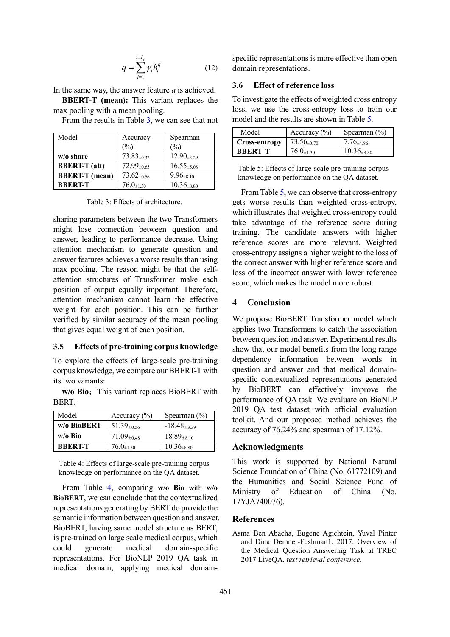$$
q = \sum_{i=1}^{i=l_q} \gamma_i h_i^q \tag{12}
$$

In the same way, the answer feature *a* is achieved.

**BBERT-T (mean):** This variant replaces the max pooling with a mean pooling.

From the results in Table 3, we can see that not

| Model                 | Accuracy           | Spearman           |
|-----------------------|--------------------|--------------------|
|                       | $\binom{0}{0}$     | $\%$               |
| w/o share             | $73.83_{\pm 0.32}$ | $12.90_{\pm 3.29}$ |
| <b>BBERT-T</b> (att)  | $72.99_{\pm 0.65}$ | $16.55_{\pm 5.08}$ |
| <b>BBERT-T</b> (mean) | $73.62_{\pm 0.56}$ | $9.96_{\pm 8.10}$  |
| <b>BBERT-T</b>        | $76.0_{\pm 1.30}$  | $10.36_{\pm 8.80}$ |

Table 3: Effects of architecture.

sharing parameters between the two Transformers might lose connection between question and answer, leading to performance decrease. Using attention mechanism to generate question and answer features achieves a worse results than using max pooling. The reason might be that the selfattention structures of Transformer make each position of output equally important. Therefore, attention mechanism cannot learn the effective weight for each position. This can be further verified by similar accuracy of the mean pooling that gives equal weight of each position.

### **3.5 Effects of pre-training corpus knowledge**

To explore the effects of large-scale pre-training corpus knowledge, we compare our BBERT-T with its two variants:

**w/o Bio:** This variant replaces BioBERT with BERT.

| Model          | Accuracy $(\% )$   | Spearman $(\% )$    |
|----------------|--------------------|---------------------|
| w/o BioBERT    | $51.39_{\pm 0.56}$ | $-18.48_{\pm 3.39}$ |
| w/o Bio        | $71.09_{\pm 0.48}$ | $18.89_{\pm 8.10}$  |
| <b>BBERT-T</b> | $76.0_{\pm 1.30}$  | $10.36_{\pm 8.80}$  |

Table 4: Effects of large-scale pre-training corpus knowledge on performance on the QA dataset.

From Table 4, comparing **w/o Bio** with **w/o BioBERT**, we can conclude that the contextualized representations generating by BERT do provide the semantic information between question and answer. BioBERT, having same model structure as BERT, is pre-trained on large scale medical corpus, which could generate medical domain-specific representations. For BioNLP 2019 QA task in medical domain, applying medical domainspecific representations is more effective than open domain representations.

#### **3.6 Effect of reference loss**

To investigate the effects of weighted cross entropy loss, we use the cross-entropy loss to train our model and the results are shown in Table 5.

| Model          | Accuracy $(\% )$   | Spearman $(\% )$   |
|----------------|--------------------|--------------------|
| Cross-entropy  | $73.56_{\pm 0.70}$ | $7.76_{\pm 4.86}$  |
| <b>BBERT-T</b> | $76.0_{\pm 1.30}$  | $10.36_{\pm 8.80}$ |

Table 5: Effects of large-scale pre-training corpus knowledge on performance on the QA dataset.

From Table 5, we can observe that cross-entropy gets worse results than weighted cross-entropy, which illustrates that weighted cross-entropy could take advantage of the reference score during training. The candidate answers with higher reference scores are more relevant. Weighted cross-entropy assigns a higher weight to the loss of the correct answer with higher reference score and loss of the incorrect answer with lower reference score, which makes the model more robust.

#### **4 Conclusion**

We propose BioBERT Transformer model which applies two Transformers to catch the association between question and answer. Experimental results show that our model benefits from the long range dependency information between words in question and answer and that medical domainspecific contextualized representations generated by BioBERT can effectively improve the performance of QA task. We evaluate on BioNLP 2019 QA test dataset with official evaluation toolkit. And our proposed method achieves the accuracy of 76.24% and spearman of 17.12%.

#### **Acknowledgments**

This work is supported by National Natural Science Foundation of China (No. 61772109) and the Humanities and Social Science Fund of Ministry of Education of China (No. 17YJA740076).

#### **References**

Asma Ben Abacha, Eugene Agichtein, Yuval Pinter and Dina Demner-Fushman1. 2017. Overview of the Medical Question Answering Task at TREC 2017 LiveQA. *text retrieval conference.*